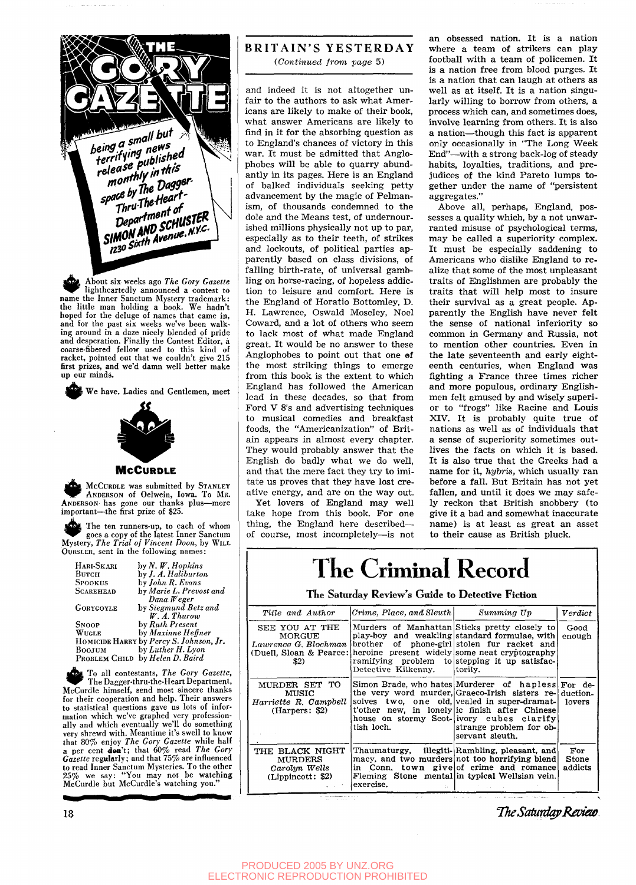

About six weeks ago The Gory Gazette<br>
lightheartedly announced a contest to<br>
name the Inner Sanctum Mystery trademark: About six weeks ago *The Gory Gazette*  lightheartedly announced a contest to the little man holding a book. We hadn't hoped for the deluge of names that came in, and for the past six weeks we've been walking around in a daze nicely blended of pride and desperation. Finally the Contest Editor, a coarse-fibered fellow used to this kind of racket, pointed out that we couldn't give 215 first prizes, and we'd damn well better make up our minds.

**1 ^** We have. Ladies and Gentlemen, meet



#### **McCURDLE**

**McCURDLE was submitted by STANLEY** *^ r* ANDERSON of Oelwein, Iowa. To MR. ANDERSON has gone our thanks plus—more important—the first prize of \$25.

The ten runners-up, to each of whom goes a copy of the latest Inner Sanctum Mystery, *The Trial of Vincent Doon,* by WILL OuRSLER, sent in the following names:

| HARI-SKARI       | by N, W, Hopkins                        |
|------------------|-----------------------------------------|
| Витсн            | by <i>J. A. Haliburton</i>              |
| <b>SPOOKUS</b>   | by John R. Evans                        |
| <b>SCAREHEAD</b> | by Marie L. Prevost and                 |
|                  | $D$ ana Weger                           |
| <b>GORYGOYLE</b> | by Siegmund Betz and                    |
|                  | W. A. Thurow                            |
| <b>SNOOP</b>     | by Ruth Present                         |
| WUGLE            | by Maxinne Heffner                      |
|                  | HOMICIDE HARRY by Percy S. Johnson, Jr. |
| Воојим           | by Luther H. Lyon                       |
|                  | PROBLEM CHILD by Helen D. Baird         |

PROBLEM CHILD by Helen D. Baird<br>
To all contestants, The Gory Gazette,<br>
The Dagger-thru-the-Heart Department,<br>
McCurdle himself, send most sincere thanks To all contestants. *The Gory Gazette,*  The Dagger-thru-the-Heart Department, for their cooperation and help. Their answers to statistical questions gave us lots of information which we've graphed very professionally and which eventually we'll do something very shrewd with. Meantime it's swell to know that 80% enjoy *The Gory Gazette* while half a per cent don't; that 60% read *The Gory Gazette* regularly; and that 75% are influenced to read Inner Sanctum Mysteries. To the other 25% we say: "You may not be watching McCurdle but McCurdle's watching you."

18

### BRITAIN'S YESTERDAY

*{Continued from page* 5)

and indeed it is not altogether unfair to the authors to ask what Americans are likely to make of their book, what answer Americans are likely to find in it for the absorbing question as to England's chances of victory in this war. It must be admitted that Anglophobes will be able to quarry abundantly in its pages. Here is an England of balked individuals seeking petty advancement by the magic of Pelmanism, of thousands condemned to the dole and the Means test, of undernourished millions physically not up to par, especially as to their teeth, of strikes and lockouts, of political parties apparently based on class divisions, of falling birth-rate, of universal gambling on horse-racing, of hopeless addiction to leisure and comfort. Here is the England of Horatio Bottomley, D. H. Lawrence, Oswald Moseley, Noel Coward, and a lot of others who seem to lack most of what made England great. It would be no answer to these Anglophobes to point out that one of the most striking things to emerge from this book is the extent to which England has followed the American lead in these decades, so that from Ford  $V$  8's and advertising techniques to musical comedies and breakfast foods, the "Americanization" of Britain appears in almost every chapter. They would probably answer that the English do badly what we do well, and that the mere fact they try to imitate us proves that they have lost creative energy, and are on the way out.

Yet lovers of England may well take hope from this book. For one thing, the England here described of course, most incompletely—is not

an obsessed nation. It is a nation where a team of strikers can play football with a team of policemen. It is a nation free from blood purges. It is a nation that can laugh at others as well as at itself. It is a nation singularly willing to borrow from others, a process which can, and sometimes does, involve learning from others. It is also a nation—though this fact is apparent only occasionally in "The Long Week End"—with a strong back-log of steady habits, loyalties, traditions, and prejudices of the kind Pareto lumps together under the name of "persistent aggregates."

Above all, perhaps, England, possesses a quality which, by a not unwarranted misuse of psychological terms, may be called a superiority complex. It must be especially saddening to Americans who dislike England to realize that some of the most unpleasant traits of Englishmen are probably the traits that will help most to insure their survival as a great people. Apparently the English have never felt the sense of national inferiority so common in Germany and Russia, not to mention other countries. Even in the late seventeenth and early eighteenth centuries, when England was fighting a France three times richer and more populous, ordinary Englishmen felt amused by and wisely superior to "frogs" like Racine and Louis XIV. It is probably quite true of nations as well as of individuals that a sense of superiority sometimes outlives the facts on which it is based. It is also true that the Greeks had a name for it, hybris, which usually ran before a fall. But Britain has not yet fallen, and until it does we may safely reckon that British snobbery (to give it a bad and somewhat inaccurate name) is at least as great an asset to their cause as British pluck.

# **The Crimmal Record**

The Saturday Review's Guide to Detective Fiction

| Title and Author                                                                    | Crime, Place, and Sleuth | Summing Up                                                                                                                                                                                                                                                                                                 | $\emph{Verdict}$        |
|-------------------------------------------------------------------------------------|--------------------------|------------------------------------------------------------------------------------------------------------------------------------------------------------------------------------------------------------------------------------------------------------------------------------------------------------|-------------------------|
| SEE YOU AT THE<br>MORGUE<br>Lawrence G. Blochman<br>(Duell, Sloan & Pearce:<br>\$2) | Detective Kilkenny.      | Murders of Manhattan Sticks pretty closely to<br>play-boy and weakling standard formulae, with<br>brother of phone-girl stolen fur racket and<br>heroine present widely some neat cryptography<br>ramifying problem to stepping it up satisfac-<br>torily.                                                 | Good<br>enough          |
| MURDER SET TO<br>MUSIC<br>Harriette R. Campbell<br>(Harpers: \$2)                   | tish loch.               | Simon Brade, who hates Murderer of hapless For de-<br>the very word murder, Graeco-Irish sisters re- duction-<br>solves two, one old, vealed in super-dramat-<br>t'other new, in lonely ic finish after Chinese<br>house on stormy Scot-livory cubes clarify<br>strange problem for ob-<br>servant sleuth. | lovers                  |
| THE BLACK NIGHT<br>MURDERS<br>Carolyn Wells<br>(Lippincott: \$2)                    | exercise.<br>t.          | Thaumaturgy, illegiti-Rambling, pleasant, and<br>macy, and two murders not too horrifying blend<br>in Conn, town givel of crime and romancel<br>Fleming Stone mental in typical Wellsian vein.                                                                                                             | For<br>Stone<br>addicts |

The Saturday Review.